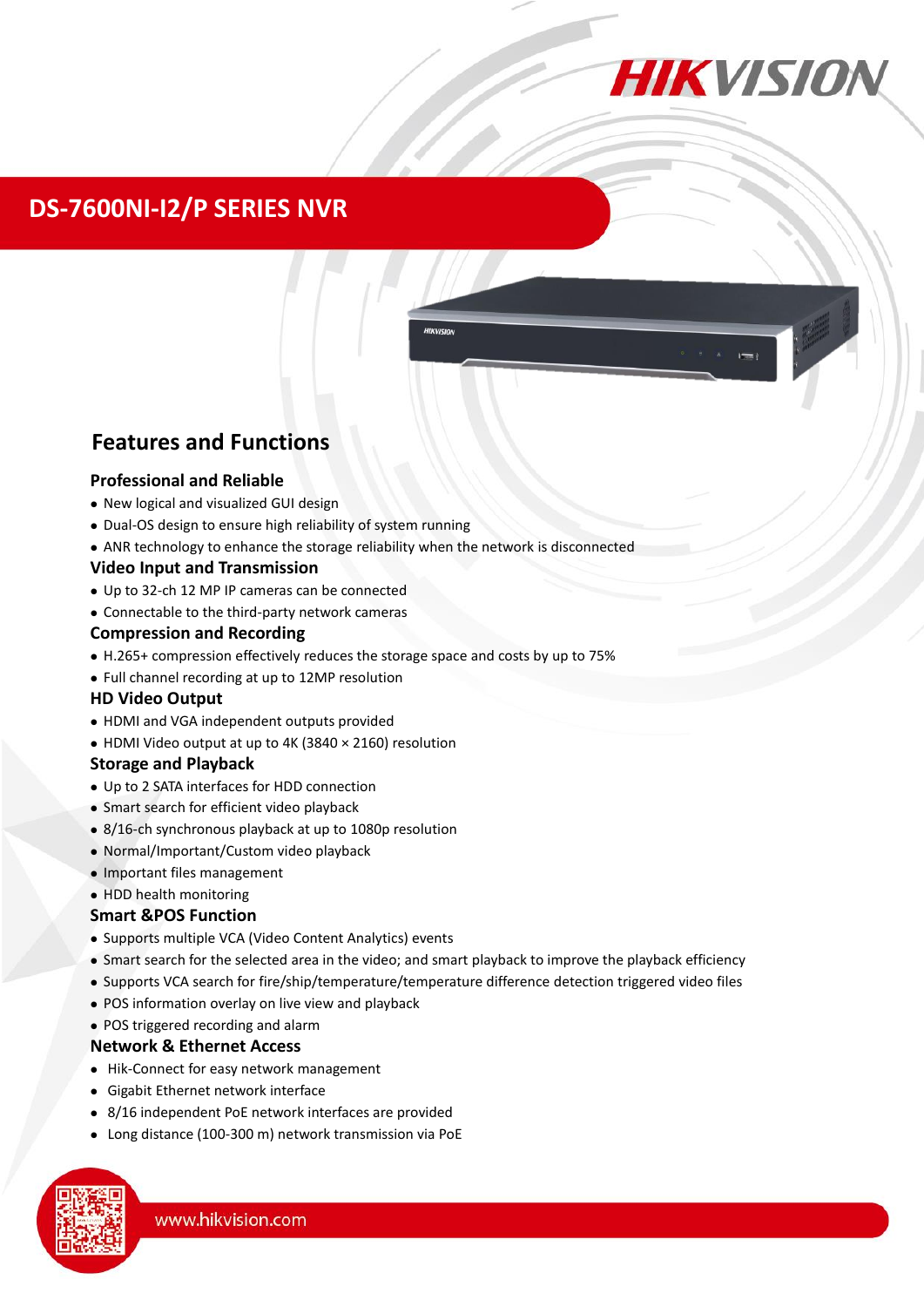

## **DS-7600NI-I2/P SERIES NVR**

### **Features and Functions**

#### **Professional and Reliable**

- New logical and visualized GUI design
- Dual-OS design to ensure high reliability of system running
- ANR technology to enhance the storage reliability when the network is disconnected

#### **Video Input and Transmission**

- Up to 32-ch 12 MP IP cameras can be connected
- Connectable to the third-party network cameras

#### **Compression and Recording**

- H.265+ compression effectively reduces the storage space and costs by up to 75%
- Full channel recording at up to 12MP resolution

#### **HD Video Output**

- HDMI and VGA independent outputs provided
- HDMI Video output at up to 4K (3840 × 2160) resolution

#### **Storage and Playback**

- Up to 2 SATA interfaces for HDD connection
- Smart search for efficient video playback
- 8/16-ch synchronous playback at up to 1080p resolution
- Normal/Important/Custom video playback
- Important files management

#### • HDD health monitoring

#### **Smart &POS Function**

- Supports multiple VCA (Video Content Analytics) events
- Smart search for the selected area in the video; and smart playback to improve the playback efficiency
- Supports VCA search for fire/ship/temperature/temperature difference detection triggered video files
- POS information overlay on live view and playback
- POS triggered recording and alarm

#### **Network & Ethernet Access**

- Hik-Connect for easy network management
- Gigabit Ethernet network interface
- 8/16 independent PoE network interfaces are provided
- Long distance (100-300 m) network transmission via PoE

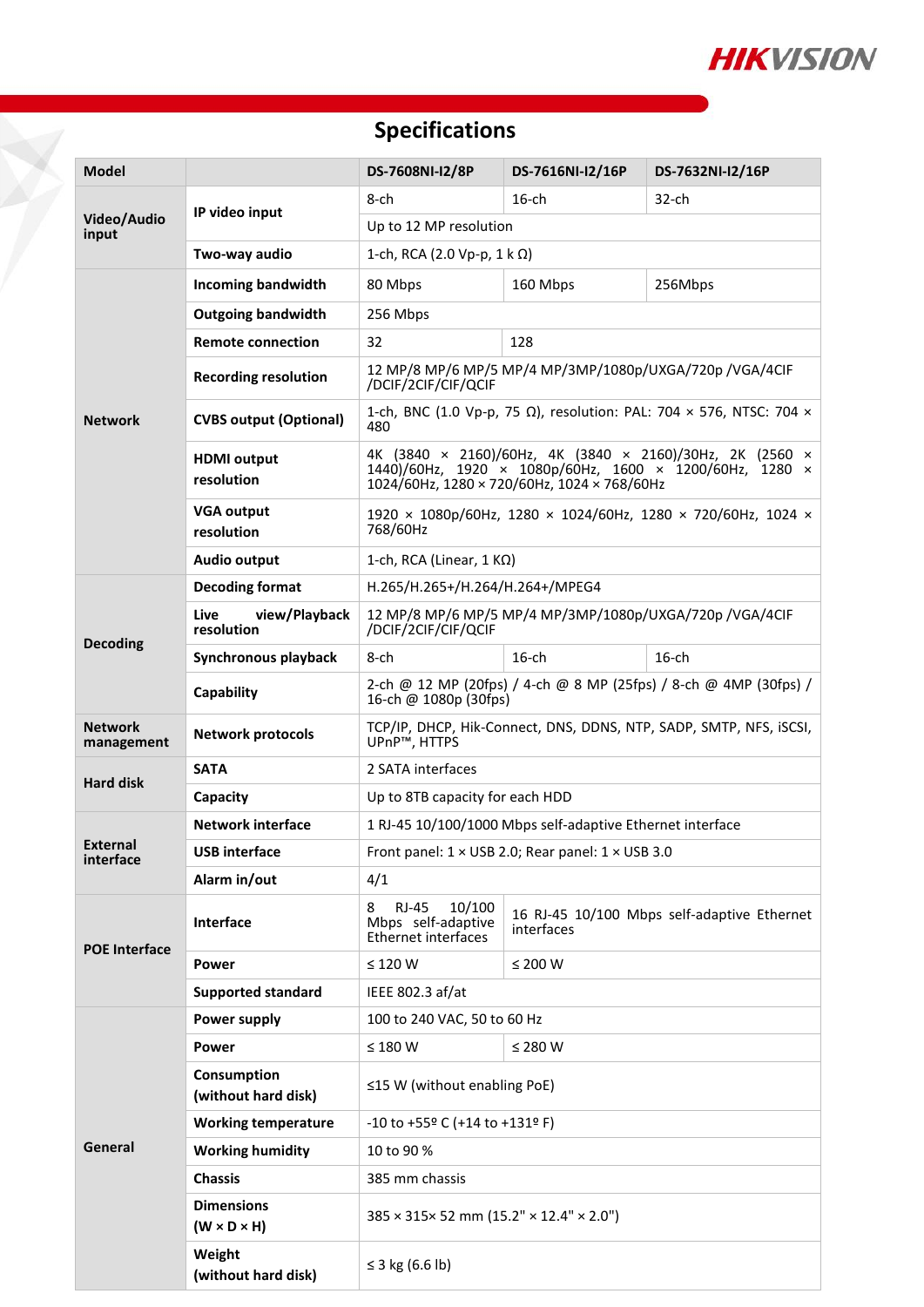

# **Specifications**

| <b>Model</b>                 |                                              | DS-7608NI-I2/8P                                                                                                                                                                       | DS-7616NI-I2/16P | DS-7632NI-I2/16P                            |  |
|------------------------------|----------------------------------------------|---------------------------------------------------------------------------------------------------------------------------------------------------------------------------------------|------------------|---------------------------------------------|--|
| Video/Audio<br>input         | IP video input                               | 8-ch                                                                                                                                                                                  | $16$ -ch         | $32$ -ch                                    |  |
|                              |                                              | Up to 12 MP resolution                                                                                                                                                                |                  |                                             |  |
|                              | Two-way audio                                | 1-ch, RCA (2.0 Vp-p, $1 \text{ k } \Omega$ )                                                                                                                                          |                  |                                             |  |
| <b>Network</b>               | <b>Incoming bandwidth</b>                    | 80 Mbps                                                                                                                                                                               | 160 Mbps         | 256Mbps                                     |  |
|                              | <b>Outgoing bandwidth</b>                    | 256 Mbps                                                                                                                                                                              |                  |                                             |  |
|                              | <b>Remote connection</b>                     | 32<br>128                                                                                                                                                                             |                  |                                             |  |
|                              | <b>Recording resolution</b>                  | 12 MP/8 MP/6 MP/5 MP/4 MP/3MP/1080p/UXGA/720p /VGA/4CIF<br>/DCIF/2CIF/CIF/QCIF                                                                                                        |                  |                                             |  |
|                              | <b>CVBS output (Optional)</b>                | 1-ch, BNC (1.0 Vp-p, 75 Ω), resolution: PAL: 704 x 576, NTSC: 704 x<br>480                                                                                                            |                  |                                             |  |
|                              | <b>HDMI</b> output<br>resolution             | 4K (3840 × 2160)/60Hz, 4K (3840 × 2160)/30Hz, 2K (2560 ×<br>1440)/60Hz, 1920 × 1080p/60Hz, 1600 × 1200/60Hz, 1280 ×<br>$1024/60$ Hz, $1280 \times 720/60$ Hz, $1024 \times 768/60$ Hz |                  |                                             |  |
|                              | <b>VGA output</b><br>resolution              | 1920 × 1080p/60Hz, 1280 × 1024/60Hz, 1280 × 720/60Hz, 1024 ×<br>768/60Hz                                                                                                              |                  |                                             |  |
|                              | <b>Audio output</b>                          | 1-ch, RCA (Linear, $1 K\Omega$ )                                                                                                                                                      |                  |                                             |  |
| <b>Decoding</b>              | <b>Decoding format</b>                       | H.265/H.265+/H.264/H.264+/MPEG4                                                                                                                                                       |                  |                                             |  |
|                              | view/Playback<br>Live<br>resolution          | 12 MP/8 MP/6 MP/5 MP/4 MP/3MP/1080p/UXGA/720p /VGA/4CIF<br>/DCIF/2CIF/CIF/QCIF                                                                                                        |                  |                                             |  |
|                              | Synchronous playback                         | 8-ch                                                                                                                                                                                  | $16$ -ch         | $16$ -ch                                    |  |
|                              | Capability                                   | 2-ch @ 12 MP (20fps) / 4-ch @ 8 MP (25fps) / 8-ch @ 4MP (30fps) /<br>16-ch @ 1080p (30fps)                                                                                            |                  |                                             |  |
| <b>Network</b><br>management | <b>Network protocols</b>                     | TCP/IP, DHCP, Hik-Connect, DNS, DDNS, NTP, SADP, SMTP, NFS, iSCSI,<br>UPnP <sup>™</sup> , HTTPS                                                                                       |                  |                                             |  |
| <b>Hard disk</b>             | <b>SATA</b>                                  | 2 SATA interfaces                                                                                                                                                                     |                  |                                             |  |
|                              | Capacity                                     | Up to 8TB capacity for each HDD                                                                                                                                                       |                  |                                             |  |
| <b>External</b><br>interface | <b>Network interface</b>                     | 1 RJ-45 10/100/1000 Mbps self-adaptive Ethernet interface                                                                                                                             |                  |                                             |  |
|                              | USB interface                                | Front panel: $1 \times$ USB 2.0; Rear panel: $1 \times$ USB 3.0                                                                                                                       |                  |                                             |  |
|                              | Alarm in/out                                 | 4/1                                                                                                                                                                                   |                  |                                             |  |
| <b>POE Interface</b>         | Interface                                    | <b>RJ-45</b><br>10/100<br>8<br>Mbps self-adaptive<br>Ethernet interfaces                                                                                                              | interfaces       | 16 RJ-45 10/100 Mbps self-adaptive Ethernet |  |
|                              | Power                                        | $\leq$ 120 W                                                                                                                                                                          | $\leq$ 200 W     |                                             |  |
|                              | <b>Supported standard</b>                    | IEEE 802.3 af/at                                                                                                                                                                      |                  |                                             |  |
| General                      | Power supply                                 | 100 to 240 VAC, 50 to 60 Hz                                                                                                                                                           |                  |                                             |  |
|                              | Power                                        | $\leq 180$ W                                                                                                                                                                          | ≤ 280 W          |                                             |  |
|                              | Consumption<br>(without hard disk)           | $\leq$ 15 W (without enabling PoE)                                                                                                                                                    |                  |                                             |  |
|                              | <b>Working temperature</b>                   | $-10$ to $+55$ <sup>o</sup> C (+14 to +131 <sup>o</sup> F)                                                                                                                            |                  |                                             |  |
|                              | <b>Working humidity</b>                      | 10 to 90 %                                                                                                                                                                            |                  |                                             |  |
|                              | <b>Chassis</b>                               | 385 mm chassis                                                                                                                                                                        |                  |                                             |  |
|                              | <b>Dimensions</b><br>$(W \times D \times H)$ | 385 × 315× 52 mm (15.2" × 12.4" × 2.0")                                                                                                                                               |                  |                                             |  |
|                              | Weight<br>(without hard disk)                | ≤ 3 kg (6.6 lb)                                                                                                                                                                       |                  |                                             |  |